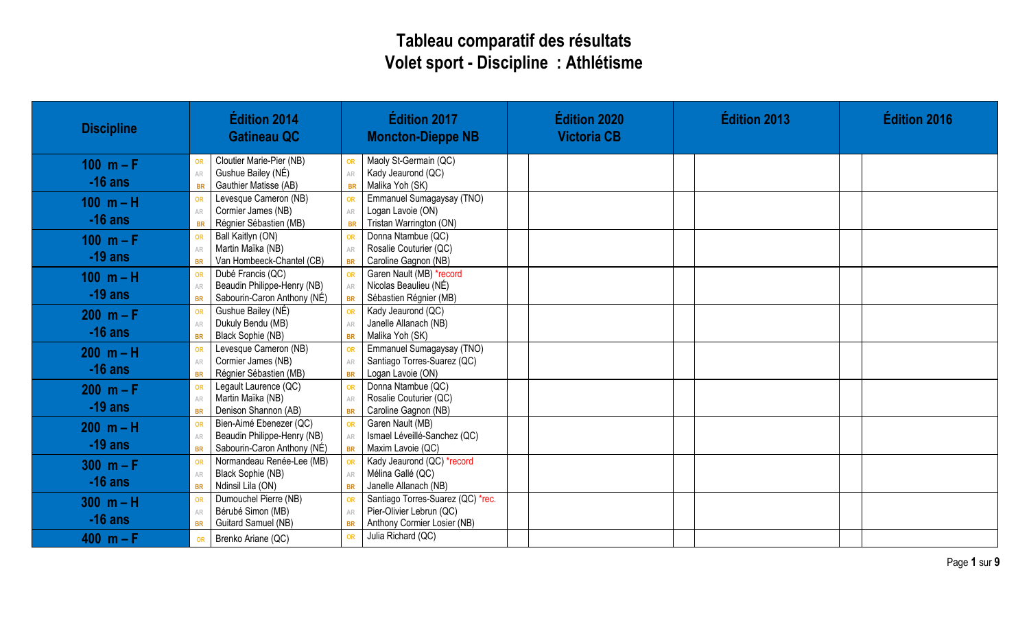## **Tableau comparatif des résultats Volet sport - Discipline : Athlétisme**

| <b>Discipline</b> | Édition 2014<br><b>Gatineau QC</b>                      | Édition 2017<br><b>Moncton-Dieppe NB</b>                                  | <b>Édition 2020</b><br><b>Victoria CB</b> | <b>Édition 2013</b> | <b>Édition 2016</b> |
|-------------------|---------------------------------------------------------|---------------------------------------------------------------------------|-------------------------------------------|---------------------|---------------------|
| 100 $m - F$       | Cloutier Marie-Pier (NB)<br>OR                          | Maoly St-Germain (QC)<br>OR                                               |                                           |                     |                     |
| $-16$ ans         | Gushue Bailey (NÉ)<br>AR<br>Gauthier Matisse (AB)       | Kady Jeaurond (QC)<br>AR<br>Malika Yoh (SK)                               |                                           |                     |                     |
|                   | <b>BR</b><br>Levesque Cameron (NB)<br>OR                | <b>BR</b><br>Emmanuel Sumagaysay (TNO)<br>OR                              |                                           |                     |                     |
| $100 m - H$       | Cormier James (NB)<br>AR                                | Logan Lavoie (ON)<br>AR                                                   |                                           |                     |                     |
| $-16$ ans         | Régnier Sébastien (MB)<br><b>BR</b>                     | Tristan Warrington (ON)<br><b>BR</b>                                      |                                           |                     |                     |
| 100 $m - F$       | Ball Kaitlyn (ON)<br>OR                                 | Donna Ntambue (QC)<br>OR                                                  |                                           |                     |                     |
|                   | Martin Maïka (NB)<br>AR                                 | Rosalie Couturier (QC)<br>AR                                              |                                           |                     |                     |
| $-19$ ans         | Van Hombeeck-Chantel (CB)<br><b>BR</b>                  | Caroline Gagnon (NB)<br><b>BR</b>                                         |                                           |                     |                     |
| $100 m - H$       | Dubé Francis (QC)<br>OR                                 | Garen Nault (MB) *record<br>OR                                            |                                           |                     |                     |
| $-19$ ans         | Beaudin Philippe-Henry (NB)<br>AR                       | Nicolas Beaulieu (NÉ)<br>AR                                               |                                           |                     |                     |
|                   | Sabourin-Caron Anthony (NÉ)<br><b>BR</b>                | Sébastien Régnier (MB)<br><b>BR</b>                                       |                                           |                     |                     |
| $200 m - F$       | Gushue Bailey (NÉ)<br>OR                                | Kady Jeaurond (QC)<br>OR                                                  |                                           |                     |                     |
| $-16$ ans         | Dukuly Bendu (MB)<br>AR<br>Black Sophie (NB)            | Janelle Allanach (NB)<br>AR<br>Malika Yoh (SK)                            |                                           |                     |                     |
|                   | <b>BR</b><br>Levesque Cameron (NB)                      | <b>BR</b><br>Emmanuel Sumagaysay (TNO)<br>OR                              |                                           |                     |                     |
| $200 m - H$       | OR<br>Cormier James (NB)<br>AR                          | Santiago Torres-Suarez (QC)<br>AR                                         |                                           |                     |                     |
| $-16$ ans         | Régnier Sébastien (MB)<br><b>BR</b>                     | Logan Lavoie (ON)<br><b>BR</b>                                            |                                           |                     |                     |
| $200 m - F$       | Legault Laurence (QC)<br>OR                             | Donna Ntambue (QC)<br>OR                                                  |                                           |                     |                     |
|                   | Martin Maïka (NB)<br>${\sf AR}$                         | Rosalie Couturier (QC)<br>AR                                              |                                           |                     |                     |
| $-19$ ans         | Denison Shannon (AB)<br><b>BR</b>                       | Caroline Gagnon (NB)<br><b>BR</b>                                         |                                           |                     |                     |
| $200 m - H$       | Bien-Aimé Ebenezer (QC)<br>OR                           | Garen Nault (MB)<br>OR                                                    |                                           |                     |                     |
| $-19$ ans         | Beaudin Philippe-Henry (NB)<br>AR                       | Ismael Léveillé-Sanchez (QC)<br>AR                                        |                                           |                     |                     |
|                   | Sabourin-Caron Anthony (NÉ)<br><b>BR</b>                | Maxim Lavoie (QC)<br><b>BR</b>                                            |                                           |                     |                     |
| $300 m - F$       | Normandeau Renée-Lee (MB)<br>OR                         | Kady Jeaurond (QC) *record<br>OR                                          |                                           |                     |                     |
| $-16$ ans         | Black Sophie (NB)<br>AR                                 | Mélina Gallé (QC)<br>AR                                                   |                                           |                     |                     |
|                   | Ndinsil Lila (ON)<br><b>BR</b><br>Dumouchel Pierre (NB) | Janelle Allanach (NB)<br><b>BR</b>                                        |                                           |                     |                     |
| $300 m - H$       | OR<br>Bérubé Simon (MB)<br>AR                           | Santiago Torres-Suarez (QC) *rec.<br>OR<br>Pier-Olivier Lebrun (QC)<br>AR |                                           |                     |                     |
| $-16$ ans         | Guitard Samuel (NB)<br><b>BR</b>                        | Anthony Cormier Losier (NB)<br><b>BR</b>                                  |                                           |                     |                     |
| 400 $m - F$       | Brenko Ariane (QC)<br><b>OR</b>                         | Julia Richard (QC)<br>OR                                                  |                                           |                     |                     |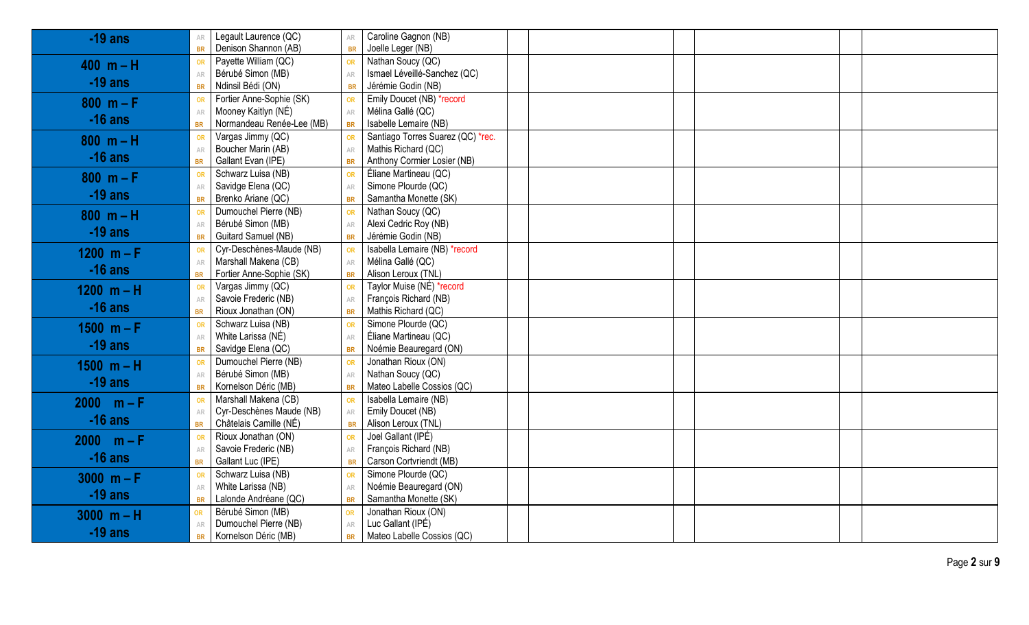| $-19$ ans    | Legault Laurence (QC)<br>AR            | AR            | Caroline Gagnon (NB)              |  |  |
|--------------|----------------------------------------|---------------|-----------------------------------|--|--|
|              | Denison Shannon (AB)<br><b>BR</b>      | <b>BR</b>     | Joelle Leger (NB)                 |  |  |
| $400 m - H$  | Payette William (QC)<br><b>OR</b>      | OR            | Nathan Soucy (QC)                 |  |  |
|              | Bérubé Simon (MB)<br>AR                | AR            | Ismael Léveillé-Sanchez (QC)      |  |  |
| $-19$ ans    | Ndinsil Bédi (ON)<br><b>BR</b>         | <b>BR</b>     | Jérémie Godin (NB)                |  |  |
| $800 m - F$  | Fortier Anne-Sophie (SK)<br>OR         | <b>OR</b>     | Emily Doucet (NB) *record         |  |  |
|              | Mooney Kaitlyn (NÉ)<br>AR              | AR            | Mélina Gallé (QC)                 |  |  |
| $-16$ ans    | Normandeau Renée-Lee (MB)<br><b>BR</b> | <b>BR</b>     | Isabelle Lemaire (NB)             |  |  |
| $800 m - H$  | Vargas Jimmy (QC)<br>OR                | <b>OR</b>     | Santiago Torres Suarez (QC) *rec. |  |  |
|              | Boucher Marin (AB)<br>AR               | $\mathbb{AR}$ | Mathis Richard (QC)               |  |  |
| $-16$ ans    | Gallant Evan (IPE)<br><b>BR</b>        | <b>BR</b>     | Anthony Cormier Losier (NB)       |  |  |
| $800 m - F$  | Schwarz Luisa (NB)<br>OR               | <b>OR</b>     | Éliane Martineau (QC)             |  |  |
|              | Savidge Elena (QC)<br>AR               | $\mathbb{AR}$ | Simone Plourde (QC)               |  |  |
| $-19$ ans    | Brenko Ariane (QC)<br><b>BR</b>        | <b>BR</b>     | Samantha Monette (SK)             |  |  |
| $800 m - H$  | Dumouchel Pierre (NB)<br>OR            | OR            | Nathan Soucy (QC)                 |  |  |
|              | Bérubé Simon (MB)<br>AR                | $\mathbb{AR}$ | Alexi Cedric Roy (NB)             |  |  |
| $-19$ ans    | Guitard Samuel (NB)<br><b>BR</b>       | <b>BR</b>     | Jérémie Godin (NB)                |  |  |
| 1200 $m - F$ | Cyr-Deschènes-Maude (NB)<br>OR         | OR            | Isabella Lemaire (NB) *record     |  |  |
| $-16$ ans    | Marshall Makena (CB)<br>AR             | ${\sf AR}$    | Mélina Gallé (QC)                 |  |  |
|              | Fortier Anne-Sophie (SK)<br><b>BR</b>  | <b>BR</b>     | Alison Leroux (TNL)               |  |  |
| 1200 $m - H$ | Vargas Jimmy (QC)<br>OR                | OR            | Taylor Muise (NÉ) *record         |  |  |
|              | Savoie Frederic (NB)<br>AR             | ${\sf AR}$    | François Richard (NB)             |  |  |
| $-16$ ans    | Rioux Jonathan (ON)<br><b>BR</b>       | <b>BR</b>     | Mathis Richard (QC)               |  |  |
| $1500 m - F$ | Schwarz Luisa (NB)<br>OR               | OR            | Simone Plourde (QC)               |  |  |
| $-19$ ans    | White Larissa (NÉ)<br>${\sf AR}$       | AR            | Éliane Martineau (QC)             |  |  |
|              | Savidge Elena (QC)<br><b>BR</b>        | <b>BR</b>     | Noémie Beauregard (ON)            |  |  |
| $1500 m - H$ | Dumouchel Pierre (NB)<br>OR            | OR            | Jonathan Rioux (ON)               |  |  |
| $-19$ ans    | Bérubé Simon (MB)<br>AR                | AR            | Nathan Soucy (QC)                 |  |  |
|              | Kornelson Déric (MB)<br><b>BR</b>      | <b>BR</b>     | Mateo Labelle Cossios (QC)        |  |  |
| $2000 m - F$ | Marshall Makena (CB)<br><b>OR</b>      | OR            | Isabella Lemaire (NB)             |  |  |
| $-16$ ans    | Cyr-Deschènes Maude (NB)<br>AR         | ${\sf AR}$    | Emily Doucet (NB)                 |  |  |
|              | Châtelais Camille (NÉ)<br><b>BR</b>    | <b>BR</b>     | Alison Leroux (TNL)               |  |  |
| $2000 m - F$ | Rioux Jonathan (ON)<br>OR              | <b>OR</b>     | Joel Gallant (IPÉ)                |  |  |
| $-16$ ans    | Savoie Frederic (NB)<br>AR             | $\mathbb{AR}$ | François Richard (NB)             |  |  |
|              | Gallant Luc (IPE)<br><b>BR</b>         | <b>BR</b>     | Carson Cortvriendt (MB)           |  |  |
| $3000 m - F$ | Schwarz Luisa (NB)<br>OR               | <b>OR</b>     | Simone Plourde (QC)               |  |  |
| $-19$ ans    | White Larissa (NB)<br>AR               | $\mathbb{AR}$ | Noémie Beauregard (ON)            |  |  |
|              | Lalonde Andréane (QC)<br><b>BR</b>     | <b>BR</b>     | Samantha Monette (SK)             |  |  |
| $3000 m - H$ | Bérubé Simon (MB)<br>OR                | <b>OR</b>     | Jonathan Rioux (ON)               |  |  |
| $-19$ ans    | Dumouchel Pierre (NB)<br>AR            | ${\sf AR}$    | Luc Gallant (IPÉ)                 |  |  |
|              | Kornelson Déric (MB)<br><b>BR</b>      | <b>BR</b>     | Mateo Labelle Cossios (QC)        |  |  |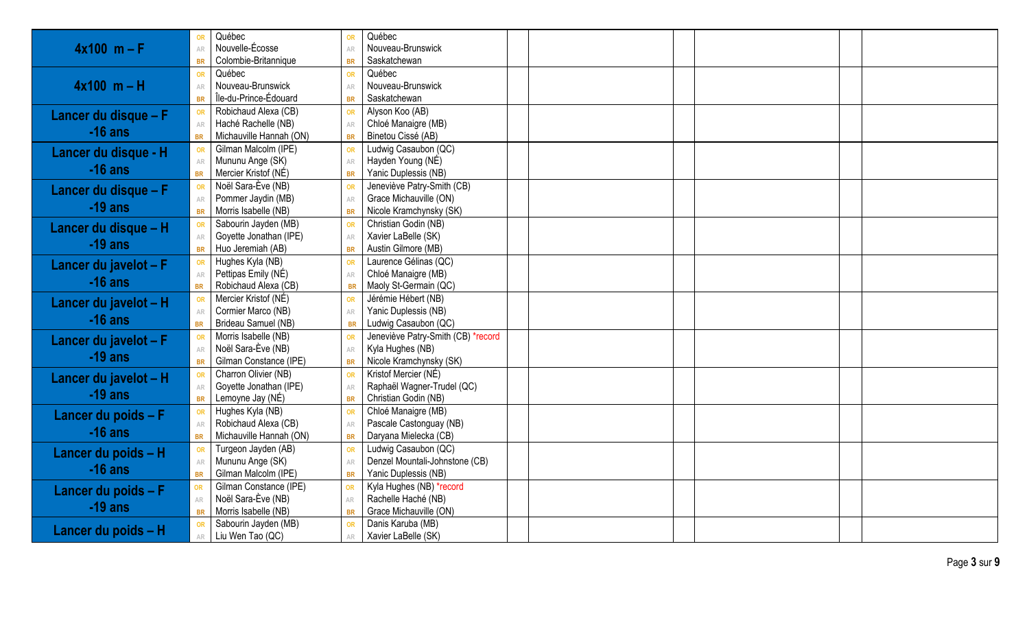| Nouvelle-Écosse<br>$4x100$ m – F<br>Nouveau-Brunswick<br>AR<br>AR                                                            |  |
|------------------------------------------------------------------------------------------------------------------------------|--|
|                                                                                                                              |  |
| Colombie-Britannique<br>Saskatchewan<br><b>BR</b>                                                                            |  |
| Québec<br>Québec<br>OR                                                                                                       |  |
| $4x100$ m – H<br>Nouveau-Brunswick<br>Nouveau-Brunswick<br>AR<br>AR                                                          |  |
| Île-du-Prince-Édouard<br>Saskatchewan<br><b>BR</b><br><b>BR</b>                                                              |  |
| Robichaud Alexa (CB)<br>Alyson Koo (AB)<br>OR<br>Lancer du disque - F                                                        |  |
| Haché Rachelle (NB)<br>Chloé Manaigre (MB)<br>AR<br>AR                                                                       |  |
| $-16$ ans<br>Michauville Hannah (ON)<br>Binetou Cissé (AB)<br><b>BR</b><br><b>BR</b>                                         |  |
| Gilman Malcolm (IPE)<br>Ludwig Casaubon (QC)<br>OR<br>Lancer du disque - H                                                   |  |
| Mununu Ange (SK)<br>Hayden Young (NÉ)<br>${\sf AR}$<br>AR                                                                    |  |
| $-16$ ans<br>Mercier Kristof (NÉ)<br>Yanic Duplessis (NB)<br><b>BR</b><br><b>BR</b>                                          |  |
| Noël Sara-Ève (NB)<br>Jeneviève Patry-Smith (CB)<br>OR<br>Lancer du disque - F                                               |  |
| Pommer Jaydin (MB)<br>Grace Michauville (ON)<br>AR<br>AR<br>$-19$ ans                                                        |  |
| Morris Isabelle (NB)<br>Nicole Kramchynsky (SK)<br><b>BR</b><br><b>BR</b>                                                    |  |
| Sabourin Jayden (MB)<br>Christian Godin (NB)<br>OR<br>Lancer du disque - H                                                   |  |
| Goyette Jonathan (IPE)<br>Xavier LaBelle (SK)<br>AR<br>$-19$ ans                                                             |  |
| Austin Gilmore (MB)<br>Huo Jeremiah (AB)<br><b>BR</b><br><b>BR</b>                                                           |  |
| Laurence Gélinas (QC)<br>Hughes Kyla (NB)<br>OR<br>Lancer du javelot - F                                                     |  |
| Pettipas Emily (NÉ)<br>Chloé Manaigre (MB)<br>$\mathbb{AR}$<br>AR<br>$-16$ ans                                               |  |
| Robichaud Alexa (CB)<br>Maoly St-Germain (QC)<br><b>BR</b><br><b>BR</b>                                                      |  |
| Mercier Kristof (NÉ)<br>Jérémie Hébert (NB)<br>OR<br>Lancer du javelot - H                                                   |  |
| Cormier Marco (NB)<br>Yanic Duplessis (NB)<br>AR<br>AR<br>$-16$ ans                                                          |  |
| Brideau Samuel (NB)<br>Ludwig Casaubon (QC)<br><b>BR</b><br><b>BR</b>                                                        |  |
| Morris Isabelle (NB)<br>Jeneviève Patry-Smith (CB) *record<br>OR<br>Lancer du javelot - F                                    |  |
| Noël Sara-Ève (NB)<br>Kyla Hughes (NB)<br>AR<br>$-19$ ans                                                                    |  |
| Gilman Constance (IPE)<br>Nicole Kramchynsky (SK)<br><b>BR</b><br><b>BR</b>                                                  |  |
| Charron Olivier (NB)<br>Kristof Mercier (NÉ)<br>OR<br>Lancer du javelot - H                                                  |  |
| Raphaël Wagner-Trudel (QC)<br>Goyette Jonathan (IPE)<br>AR<br>AR<br>$-19$ ans                                                |  |
| Christian Godin (NB)<br>Lemoyne Jay (NÉ)<br><b>BR</b><br><b>BR</b>                                                           |  |
| Chloé Manaigre (MB)<br>Hughes Kyla (NB)<br>OR<br>Lancer du poids $-F$                                                        |  |
| Robichaud Alexa (CB)<br>Pascale Castonguay (NB)<br>AR<br>AR<br>$-16$ ans<br>Michauville Hannah (ON)<br>Daryana Mielecka (CB) |  |
| <b>BR</b><br><b>BR</b><br>Ludwig Casaubon (QC)<br>Turgeon Jayden (AB)                                                        |  |
| OR<br>Lancer du poids - H<br>Mununu Ange (SK)<br>Denzel Mountali-Johnstone (CB)                                              |  |
| ${\sf AR}$<br>AR<br>$-16$ ans<br>Gilman Malcolm (IPE)<br>Yanic Duplessis (NB)<br><b>BR</b><br><b>BR</b>                      |  |
| Gilman Constance (IPE)<br>Kyla Hughes (NB) *record                                                                           |  |
| <b>OR</b><br>Lancer du poids $-F$<br>Noël Sara-Ève (NB)<br>Rachelle Haché (NB)<br>${\sf AR}$                                 |  |
| $-19$ ans<br>Morris Isabelle (NB)<br>Grace Michauville (ON)<br><b>BR</b><br><b>BR</b>                                        |  |
| Sabourin Jayden (MB)<br>Danis Karuba (MB)<br>OR                                                                              |  |
| Lancer du poids - H<br>Liu Wen Tao (QC)<br>Xavier LaBelle (SK)<br>AR<br>AR.                                                  |  |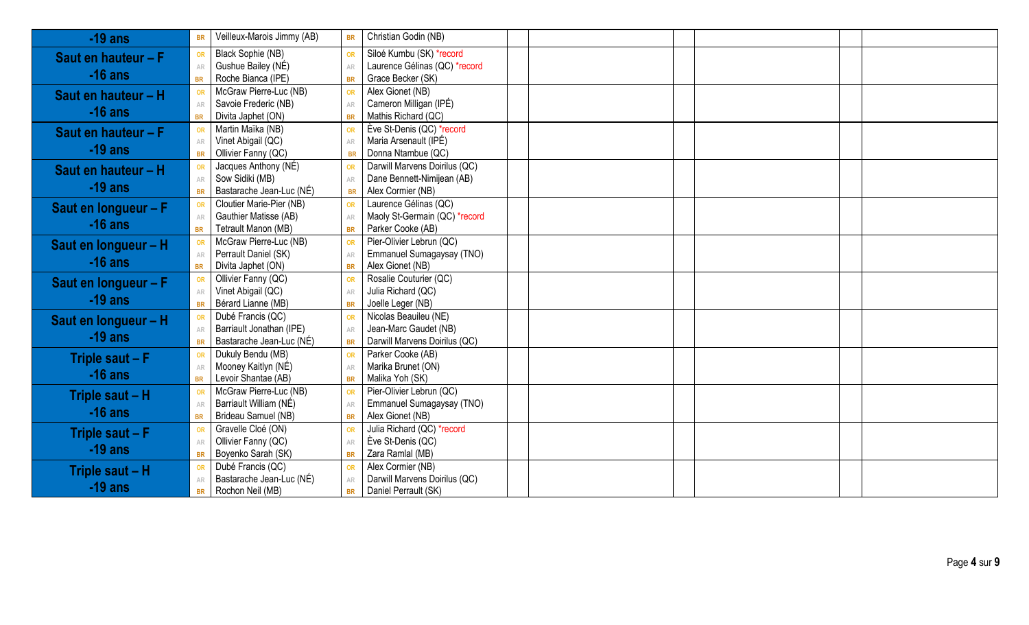| $-19$ ans             | <b>BR</b>     | Veilleux-Marois Jimmy (AB) | <b>BR</b>  | Christian Godin (NB)          |  |
|-----------------------|---------------|----------------------------|------------|-------------------------------|--|
| Saut en hauteur - F   | OR            | Black Sophie (NB)          | OR         | Siloé Kumbu (SK) *record      |  |
|                       | AR            | Gushue Bailey (NÉ)         | AR         | Laurence Gélinas (QC) *record |  |
| $-16$ ans             | <b>BR</b>     | Roche Bianca (IPE)         | <b>BR</b>  | Grace Becker (SK)             |  |
| Saut en hauteur - H   | OR            | McGraw Pierre-Luc (NB)     | OR         | Alex Gionet (NB)              |  |
|                       | AR            | Savoie Frederic (NB)       | AR         | Cameron Milligan (IPÉ)        |  |
| $-16$ ans             | <b>BR</b>     | Divita Japhet (ON)         | <b>BR</b>  | Mathis Richard (QC)           |  |
| Saut en hauteur $-F$  | OR            | Martin Maïka (NB)          | OR         | Ève St-Denis (QC) *record     |  |
|                       | AR            | Vinet Abigail (QC)         | AR         | Maria Arsenault (IPÉ)         |  |
| $-19$ ans             | <b>BR</b>     | Ollivier Fanny (QC)        | <b>BR</b>  | Donna Ntambue (QC)            |  |
| Saut en hauteur - H   | OR            | Jacques Anthony (NÉ)       | OR         | Darwill Marvens Doirilus (QC) |  |
|                       | AR            | Sow Sidiki (MB)            | AR         | Dane Bennett-Nimijean (AB)    |  |
| $-19$ ans             | <b>BR</b>     | Bastarache Jean-Luc (NÉ)   | <b>BR</b>  | Alex Cormier (NB)             |  |
| Saut en longueur - F  | OR            | Cloutier Marie-Pier (NB)   | OR         | Laurence Gélinas (QC)         |  |
|                       | AR            | Gauthier Matisse (AB)      | AR         | Maoly St-Germain (QC) *record |  |
| $-16$ ans             | <b>BR</b>     | Tetrault Manon (MB)        | <b>BR</b>  | Parker Cooke (AB)             |  |
| Saut en longueur - H  | <b>OR</b>     | McGraw Pierre-Luc (NB)     | OR         | Pier-Olivier Lebrun (QC)      |  |
|                       | AR            | Perrault Daniel (SK)       | AR         | Emmanuel Sumagaysay (TNO)     |  |
| $-16$ ans             | <b>BR</b>     | Divita Japhet (ON)         | <b>BR</b>  | Alex Gionet (NB)              |  |
| Saut en longueur $-F$ | OR            | Ollivier Fanny (QC)        | OR         | Rosalie Couturier (QC)        |  |
|                       | AR            | Vinet Abigail (QC)         | ${\sf AR}$ | Julia Richard (QC)            |  |
| $-19$ ans             | <b>BR</b>     | Bérard Lianne (MB)         | <b>BR</b>  | Joelle Leger (NB)             |  |
| Saut en longueur - H  | OR            | Dubé Francis (QC)          | OR         | Nicolas Beauileu (NE)         |  |
|                       | AR            | Barriault Jonathan (IPE)   | AR         | Jean-Marc Gaudet (NB)         |  |
| $-19$ ans             | <b>BR</b>     | Bastarache Jean-Luc (NÉ)   | <b>BR</b>  | Darwill Marvens Doirilus (QC) |  |
| Triple saut - F       | <b>OR</b>     | Dukuly Bendu (MB)          | OR         | Parker Cooke (AB)             |  |
| $-16$ ans             | $\mathbb{AR}$ | Mooney Kaitlyn (NÉ)        | ${\sf AR}$ | Marika Brunet (ON)            |  |
|                       | <b>BR</b>     | Levoir Shantae (AB)        | <b>BR</b>  | Malika Yoh (SK)               |  |
| Triple saut - H       | <b>OR</b>     | McGraw Pierre-Luc (NB)     | OR         | Pier-Olivier Lebrun (QC)      |  |
| $-16$ ans             | AR            | Barriault William (NÉ)     | AR         | Emmanuel Sumagaysay (TNO)     |  |
|                       | <b>BR</b>     | Brideau Samuel (NB)        | <b>BR</b>  | Alex Gionet (NB)              |  |
| Triple saut - F       | OR            | Gravelle Cloé (ON)         | OR         | Julia Richard (QC) *record    |  |
|                       | $\mathbb{AR}$ | Ollivier Fanny (QC)        | AR         | Ève St-Denis (QC)             |  |
| $-19$ ans             | <b>BR</b>     | Boyenko Sarah (SK)         | <b>BR</b>  | Zara Ramlal (MB)              |  |
| Triple saut - H       | OR            | Dubé Francis (QC)          | OR         | Alex Cormier (NB)             |  |
|                       | $\mathbb{AR}$ | Bastarache Jean-Luc (NÉ)   | AR         | Darwill Marvens Doirilus (QC) |  |
| $-19$ ans             | <b>BR</b>     | Rochon Neil (MB)           | <b>BR</b>  | Daniel Perrault (SK)          |  |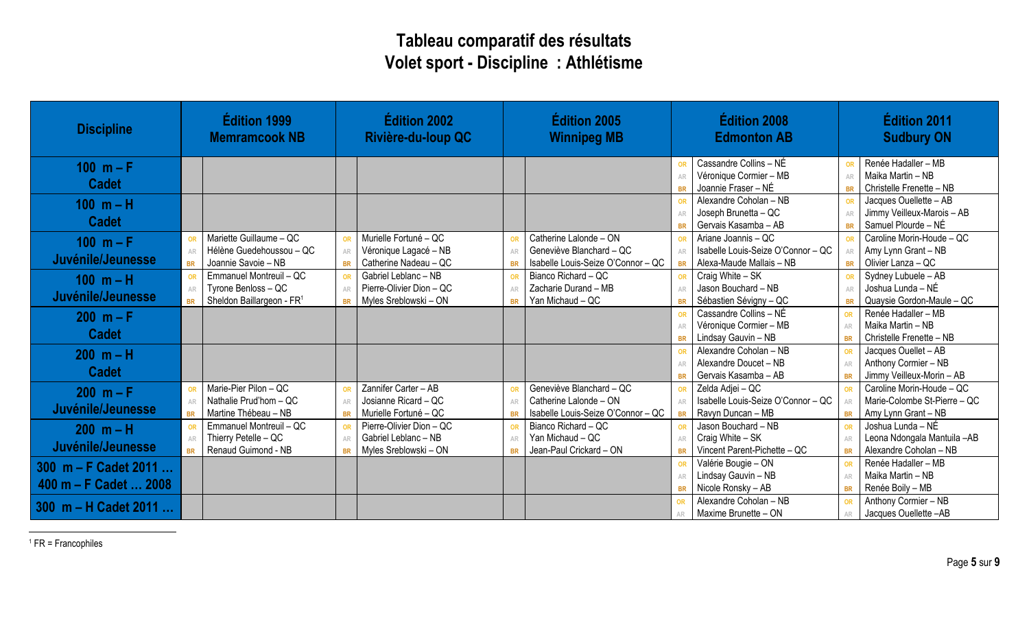## **Tableau comparatif des résultats Volet sport - Discipline : Athlétisme**

| <b>Discipline</b>     |                        | Édition 1999<br><b>Memramcook NB</b>            | Édition 2002<br><b>Édition 2005</b><br>Rivière-du-loup QC<br><b>Winnipeg MB</b> |                                                   | <b>Édition 2008</b><br><b>Edmonton AB</b> |                                                           |                 | <b>Édition 2011</b><br><b>Sudbury ON</b>      |            |                                                    |
|-----------------------|------------------------|-------------------------------------------------|---------------------------------------------------------------------------------|---------------------------------------------------|-------------------------------------------|-----------------------------------------------------------|-----------------|-----------------------------------------------|------------|----------------------------------------------------|
| 100 $m - F$           |                        |                                                 |                                                                                 |                                                   |                                           |                                                           |                 | Cassandre Collins - NÉ                        |            | Renée Hadaller - MB                                |
| <b>Cadet</b>          |                        |                                                 |                                                                                 |                                                   |                                           |                                                           |                 | Véronique Cormier - MB                        | $\Delta$ R | Maika Martin - NB                                  |
|                       |                        |                                                 |                                                                                 |                                                   |                                           |                                                           |                 | Joannie Fraser - NÉ<br>Alexandre Coholan - NB | <b>BR</b>  | Christelle Frenette - NB<br>Jacques Ouellette - AB |
| $100 m - H$           |                        |                                                 |                                                                                 |                                                   |                                           |                                                           | OR              | Joseph Brunetta - QC                          |            | Jimmy Veilleux-Marois - AB                         |
| <b>Cadet</b>          |                        |                                                 |                                                                                 |                                                   |                                           |                                                           | <b>BR</b>       | Gervais Kasamba - AB                          | <b>BR</b>  | Samuel Plourde - NÉ                                |
|                       | OR                     | Mariette Guillaume - QC                         | <b>OR</b>                                                                       | Murielle Fortuné - QC                             |                                           | Catherine Lalonde - ON                                    |                 | Ariane Joannis - QC                           |            | Caroline Morin-Houde - QC                          |
| $100 m - F$           | AR                     | Hélène Guedehoussou - QC                        | AR                                                                              | Véronique Lagacé - NB                             | AR                                        | Geneviève Blanchard - QC                                  | AR              | Isabelle Louis-Seize O'Connor - QC            |            | Amy Lynn Grant - NB                                |
| Juvénile/Jeunesse     | <b>BR</b>              | Joannie Savoie - NB                             | <b>BR</b>                                                                       | Catherine Nadeau - QC                             |                                           | Isabelle Louis-Seize O'Connor - QC                        | <b>BR</b>       | Alexa-Maude Mallais - NB                      | <b>BR</b>  | Olivier Lanza - QC                                 |
| $100 m - H$           | <b>OR</b>              | Emmanuel Montreuil - QC                         | <b>OR</b>                                                                       | Gabriel Leblanc - NB                              |                                           | Bianco Richard - QC                                       | OR              | Craig White - SK                              |            | Sydney Lubuele - AB                                |
|                       | AR                     | Tyrone Benloss - QC                             | AR                                                                              | Pierre-Olivier Dion - QC                          | AR                                        | Zacharie Durand - MB                                      | AR              | Jason Bouchard - NB                           |            | Joshua Lunda - NÉ                                  |
| Juvénile/Jeunesse     | <b>BR</b>              | Sheldon Baillargeon - FR <sup>1</sup>           | <b>BR</b>                                                                       | Myles Sreblowski - ON                             | <b>RR</b>                                 | Yan Michaud - QC                                          | <b>BR</b>       | Sébastien Sévigny - QC                        | <b>BR</b>  | Quaysie Gordon-Maule - QC                          |
| $200 m - F$           |                        |                                                 |                                                                                 |                                                   |                                           |                                                           | OR              | Cassandre Collins - NÉ                        | OR         | Renée Hadaller - MB                                |
|                       |                        |                                                 |                                                                                 |                                                   |                                           |                                                           |                 | Véronique Cormier - MB                        | AR         | Maika Martin - NB                                  |
| <b>Cadet</b>          |                        |                                                 |                                                                                 |                                                   |                                           |                                                           | <b>BR</b>       | Lindsay Gauvin - NB                           | <b>BR</b>  | Christelle Frenette - NB                           |
| $200 m - H$           |                        |                                                 |                                                                                 |                                                   |                                           |                                                           |                 | Alexandre Coholan - NB                        | OR         | Jacques Ouellet - AB                               |
| <b>Cadet</b>          |                        |                                                 |                                                                                 |                                                   |                                           |                                                           | AR              | Alexandre Doucet - NB                         | AR         | Anthony Cormier - NB                               |
|                       |                        |                                                 |                                                                                 |                                                   |                                           |                                                           | <b>BR</b>       | Gervais Kasamba - AB                          | <b>BR</b>  | Jimmy Veilleux-Morin - AB                          |
| $200 m - F$           | OR                     | Marie-Pier Pilon - QC                           | <b>OR</b>                                                                       | Zannifer Carter - AB                              |                                           | Geneviève Blanchard - QC                                  |                 | Zelda Adjei - QC                              |            | Caroline Morin-Houde - QC                          |
| Juvénile/Jeunesse     | AR                     | Nathalie Prud'hom - QC                          | AR                                                                              | Josianne Ricard - QC                              |                                           | Catherine Lalonde - ON                                    | AR              | Isabelle Louis-Seize O'Connor - QC            |            | Marie-Colombe St-Pierre - QC                       |
|                       | <b>BR</b>              | Martine Thébeau - NB<br>Emmanuel Montreuil - QC | <b>BR</b>                                                                       | Murielle Fortuné - QC<br>Pierre-Olivier Dion - QC | <b>RR</b>                                 | Isabelle Louis-Seize O'Connor - QC<br>Bianco Richard - QC | <b>BR</b>       | Ravyn Duncan - MB<br>Jason Bouchard - NB      | <b>BR</b>  | Amy Lynn Grant - NB<br>Joshua Lunda - NÉ           |
| $200 m - H$           | OR                     | Thierry Petelle - QC                            | <b>OR</b>                                                                       | Gabriel Leblanc - NB                              | OF<br>AR                                  | Yan Michaud - QC                                          | OR              | Craig White - SK                              | OR         | Leona Ndongala Mantuila -AB                        |
| Juvénile/Jeunesse     | <b>AR</b><br><b>BR</b> | Renaud Guimond - NB                             | AR                                                                              | Myles Sreblowski - ON                             |                                           | Jean-Paul Crickard - ON                                   | AR<br><b>BR</b> | Vincent Parent-Pichette - QC                  | <b>BR</b>  | Alexandre Coholan - NB                             |
|                       |                        |                                                 |                                                                                 |                                                   |                                           |                                                           |                 | Valérie Bougie - ON                           | OR         | Renée Hadaller - MB                                |
| 300 m - F Cadet 2011  |                        |                                                 |                                                                                 |                                                   |                                           |                                                           | AR              | Lindsay Gauvin - NB                           | AR         | Maika Martin - NB                                  |
| 400 m – F Cadet  2008 |                        |                                                 |                                                                                 |                                                   |                                           |                                                           |                 | Nicole Ronsky - AB                            | <b>BR</b>  | Renée Boily - MB                                   |
|                       |                        |                                                 |                                                                                 |                                                   |                                           |                                                           |                 | Alexandre Coholan - NB                        | OR         | Anthony Cormier - NB                               |
| 300 m - H Cadet 2011  |                        |                                                 |                                                                                 |                                                   |                                           |                                                           |                 | Maxime Brunette - ON                          |            | Jacques Ouellette-AB                               |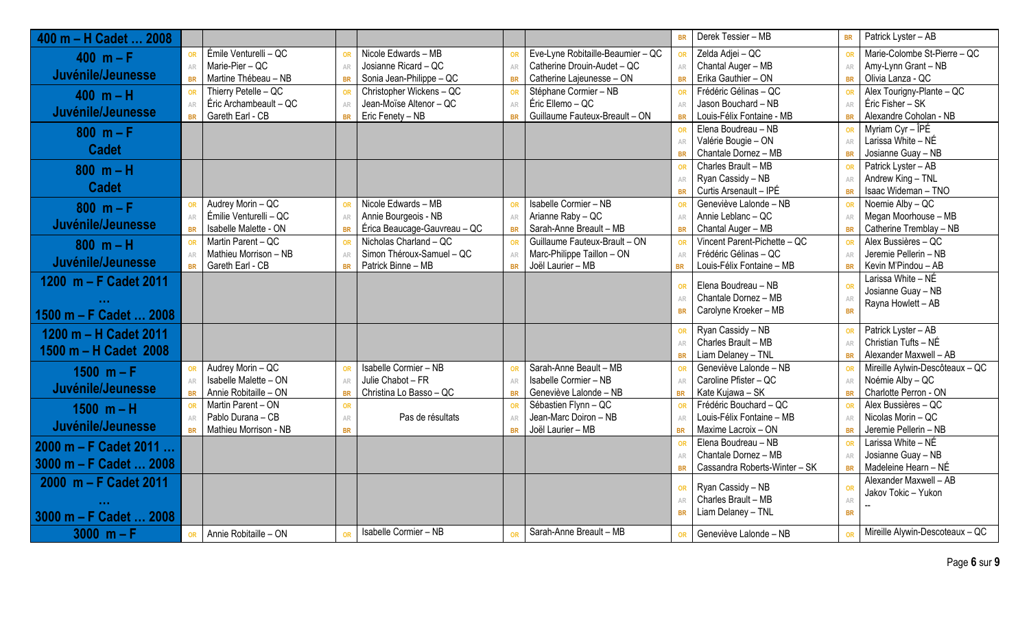| 400 m - H Cadet<br>.2008    |                         |                        |                 |                              |                 |                                   | <b>BR</b>       | Derek Tessier - MB                               | <b>BR</b> | Patrick Lyster - AB                      |
|-----------------------------|-------------------------|------------------------|-----------------|------------------------------|-----------------|-----------------------------------|-----------------|--------------------------------------------------|-----------|------------------------------------------|
| 400 $m - F$                 | OR                      | Émile Venturelli - QC  | <b>OR</b>       | Nicole Edwards - MB          | <b>OR</b>       | Eve-Lyne Robitaille-Beaumier - QC | <b>OR</b>       | Zelda Adjei - QC                                 | OR        | Marie-Colombe St-Pierre - QC             |
|                             | ${\sf AR}$              | Marie-Pier - QC        | AR              | Josianne Ricard - QC         | AR              | Catherine Drouin-Audet - QC       | AR              | Chantal Auger - MB                               | AR        | Amy-Lynn Grant - NB                      |
| Juvénile/Jeunesse           | <b>BR</b>               | Martine Thébeau - NB   | <b>BR</b>       | Sonia Jean-Philippe - QC     | <b>BR</b>       | Catherine Lajeunesse - ON         | <b>BR</b>       | Erika Gauthier - ON                              | <b>BR</b> | Olivia Lanza - QC                        |
| $400 m - H$                 | OR                      | Thierry Petelle - QC   | <b>OR</b>       | Christopher Wickens - QC     |                 | Stéphane Cormier - NB             |                 | Frédéric Gélinas - QC                            |           | Alex Tourigny-Plante - QC                |
| Juvénile/Jeunesse           | AR                      | Éric Archambeault - QC | AR              | Jean-Moïse Altenor - QC      | AR              | Éric Ellemo - QC                  | AR              | Jason Bouchard - NB                              | AR        | Éric Fisher - SK                         |
|                             | <b>BR</b>               | Gareth Earl - CB       | <b>BR</b>       | Eric Fenety - NB             | <b>BR</b>       | Guillaume Fauteux-Breault - ON    | <b>BR</b>       | Louis-Félix Fontaine - MB                        | <b>BR</b> | Alexandre Coholan - NB                   |
| $800 m - F$                 |                         |                        |                 |                              |                 |                                   | OR              | Elena Boudreau - NB                              | OR        | Myriam Cyr - ÎPÉ                         |
| <b>Cadet</b>                |                         |                        |                 |                              |                 |                                   | AR              | Valérie Bougie - ON                              | AR        | Larissa White - NÉ                       |
|                             |                         |                        |                 |                              |                 |                                   | <b>BR</b>       | Chantale Dornez - MB                             | <b>BR</b> | Josianne Guay - NB                       |
| $800 m - H$                 |                         |                        |                 |                              |                 |                                   | OR              | Charles Brault - MB                              | OR        | Patrick Lyster - AB                      |
| <b>Cadet</b>                |                         |                        |                 |                              |                 |                                   | AR              | Ryan Cassidy - NB                                | AR        | Andrew King - TNL<br>Isaac Wideman - TNO |
|                             |                         | Audrey Morin - QC      |                 | Nicole Edwards - MB          |                 | Isabelle Cormier - NB             | <b>BR</b>       | Curtis Arsenault - IPÉ<br>Geneviève Lalonde - NB | <b>BR</b> | Noemie Alby - QC                         |
| $800 m - F$                 | OR                      | Émilie Venturelli - QC | <b>OR</b>       | Annie Bourgeois - NB         | <b>OR</b><br>AR | Arianne Raby - QC                 | <b>OR</b>       | Annie Leblanc - QC                               | AR        | Megan Moorhouse - MB                     |
| Juvénile/Jeunesse           | ${\sf AR}$<br><b>BR</b> | Isabelle Malette - ON  | AR<br><b>BR</b> | Érica Beaucage-Gauvreau - QC | <b>BR</b>       | Sarah-Anne Breault - MB           | AR<br><b>BR</b> | Chantal Auger - MB                               | <b>BR</b> | Catherine Tremblay - NB                  |
|                             | OR                      | Martin Parent - QC     | <b>OR</b>       | Nicholas Charland - QC       | <b>OR</b>       | Guillaume Fauteux-Brault - ON     | OR              | Vincent Parent-Pichette - QC                     | OR        | Alex Bussières - QC                      |
| $800 m - H$                 | AR                      | Mathieu Morrison - NB  | AR              | Simon Théroux-Samuel - QC    | AR              | Marc-Philippe Taillon - ON        | AR              | Frédéric Gélinas - QC                            | AR        | Jeremie Pellerin - NB                    |
| Juvénile/Jeunesse           | <b>BR</b>               | Gareth Earl - CB       | <b>BR</b>       | Patrick Binne - MB           | <b>BR</b>       | Joël Laurier - MB                 | <b>BR</b>       | Louis-Félix Fontaine - MB                        | <b>BR</b> | Kevin M'Pindou - AB                      |
| 1200 m - F Cadet 2011       |                         |                        |                 |                              |                 |                                   |                 |                                                  |           | Larissa White - NÉ                       |
|                             |                         |                        |                 |                              |                 |                                   | OR              | Elena Boudreau - NB                              | OR        | Josianne Guay - NB                       |
|                             |                         |                        |                 |                              |                 |                                   | AR              | Chantale Dornez - MB                             | AR        | Rayna Howlett - AB                       |
| 1500 m - F Cadet  2008      |                         |                        |                 |                              |                 |                                   | <b>BR</b>       | Carolyne Kroeker - MB                            | <b>BR</b> |                                          |
| 1200 m - H Cadet 2011       |                         |                        |                 |                              |                 |                                   |                 | Ryan Cassidy - NB                                |           | Patrick Lyster - AB                      |
|                             |                         |                        |                 |                              |                 |                                   | AR              | Charles Brault - MB                              | AR        | Christian Tufts - NÉ                     |
| 1500 m - H Cadet 2008       |                         |                        |                 |                              |                 |                                   | <b>BR</b>       | Liam Delaney - TNL                               | <b>BR</b> | Alexander Maxwell - AB                   |
| $1500 m - F$                | OR                      | Audrey Morin - QC      | <b>OR</b>       | Isabelle Cormier - NB        | <b>OR</b>       | Sarah-Anne Beault - MB            |                 | Geneviève Lalonde - NB                           | OR        | Mireille Aylwin-Descôteaux - QC          |
|                             | AR                      | Isabelle Malette - ON  | AR              | Julie Chabot - FR            | AR              | Isabelle Cormier - NB             | AR              | Caroline Pfister - QC                            | AR        | Noémie Alby - QC                         |
| Juvénile/Jeunesse           | <b>BR</b>               | Annie Robitaille - ON  | <b>BR</b>       | Christina Lo Basso - QC      | <b>BR</b>       | Geneviève Lalonde - NB            | <b>BR</b>       | Kate Kujawa - SK                                 | <b>BR</b> | Charlotte Perron - ON                    |
| $1500 \text{ m} - \text{H}$ | OR                      | Martin Parent - ON     | OR              |                              | OR              | Sébastien Flynn - QC              | OR              | Frédéric Bouchard - QC                           | OR        | Alex Bussières - QC                      |
| Juvénile/Jeunesse           | AR                      | Pablo Durana - CB      | AR              | Pas de résultats             | AR              | Jean-Marc Doiron - NB             | AR              | Louis-Félix Fontaine - MB                        | AR        | Nicolas Morin - QC                       |
|                             | <b>BR</b>               | Mathieu Morrison - NB  | <b>BR</b>       |                              | <b>BR</b>       | Joël Laurier - MB                 | <b>BR</b>       | Maxime Lacroix - ON                              | <b>BR</b> | Jeremie Pellerin - NB                    |
| 2000 m - F Cadet 2011       |                         |                        |                 |                              |                 |                                   |                 | Elena Boudreau - NB                              | OR        | Larissa White - NÉ                       |
| 3000 m - F Cadet  2008      |                         |                        |                 |                              |                 |                                   | AR              | Chantale Dornez - MB                             | AR        | Josianne Guay - NB                       |
|                             |                         |                        |                 |                              |                 |                                   |                 | Cassandra Roberts-Winter - SK                    | <b>BR</b> | Madeleine Hearn - NÉ                     |
| 2000 m - F Cadet 2011       |                         |                        |                 |                              |                 |                                   | <b>OR</b>       | Ryan Cassidy - NB                                | OR        | Alexander Maxwell - AB                   |
|                             |                         |                        |                 |                              |                 |                                   |                 | Charles Brault - MB                              | AR        | Jakov Tokic - Yukon                      |
| 3000 m - F Cadet  2008      |                         |                        |                 |                              |                 |                                   | <b>BR</b>       | Liam Delaney - TNL                               | <b>BR</b> |                                          |
| $3000 m - F$                | <b>OR</b>               | Annie Robitaille - ON  | <b>OR</b>       | Isabelle Cormier - NB        |                 | Sarah-Anne Breault - MB           |                 | Geneviève Lalonde - NB                           |           | Mireille Alywin-Descoteaux - QC          |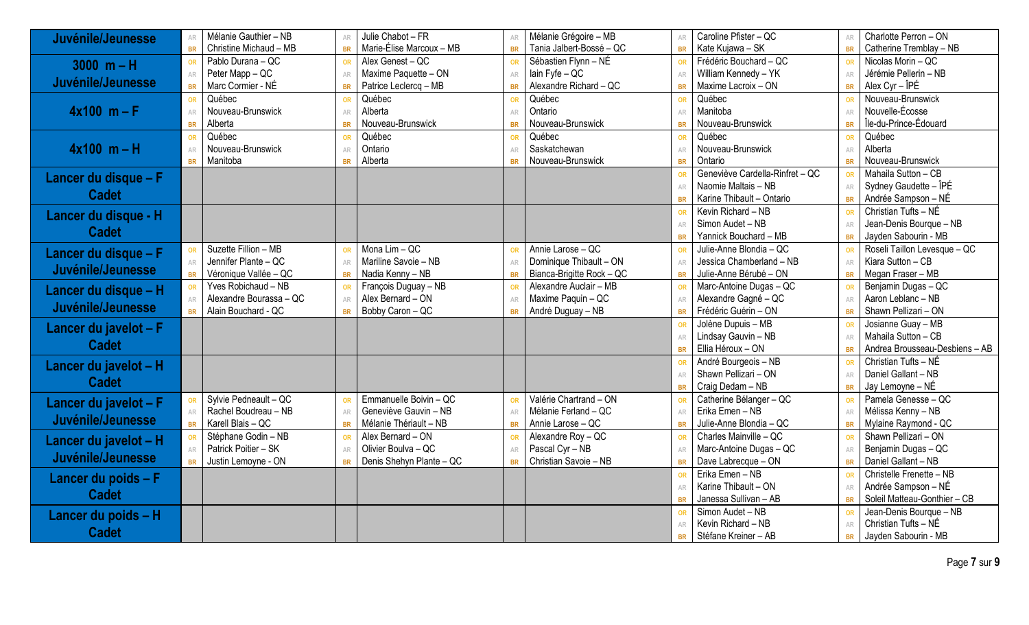| Juvénile/Jeunesse     | Mélanie Gauthier - NB<br>AR         | Julie Chabot - FR<br>AR               | Mélanie Grégoire - MB                  | Caroline Pfister - QC                | Charlotte Perron - ON<br>AR                 |
|-----------------------|-------------------------------------|---------------------------------------|----------------------------------------|--------------------------------------|---------------------------------------------|
|                       | Christine Michaud - MB<br><b>BR</b> | Marie-Élise Marcoux - MB<br><b>BR</b> | Tania Jalbert-Bossé - QC<br><b>BR</b>  | Kate Kujawa - SK<br><b>BR</b>        | Catherine Tremblay - NB<br><b>BR</b>        |
| $3000 m - H$          | Pablo Durana - QC<br><b>OR</b>      | Alex Genest - QC<br>OR                | Sébastien Flynn - NÉ<br>OR             | Frédéric Bouchard - $\overline{QC}$  | Nicolas Morin - QC<br>OR                    |
|                       | Peter Mapp - QC<br>AR               | Maxime Paquette - ON<br>AR            | lain Fyfe - QC<br>AR                   | William Kennedy - YK<br>AR           | Jérémie Pellerin - NB<br>AR                 |
| Juvénile/Jeunesse     | Marc Cormier - NÉ<br><b>BR</b>      | Patrice Leclercq - MB<br><b>BR</b>    | Alexandre Richard - QC<br><b>BR</b>    | Maxime Lacroix - ON<br><b>BR</b>     | Alex $Cyr - \hat{I}P\hat{E}$<br><b>BR</b>   |
|                       | Québec<br><b>OR</b>                 | Québec<br>OF                          | Québec<br>OR                           | Québec                               | Nouveau-Brunswick<br>OR                     |
| $4x100$ m – F         | Nouveau-Brunswick<br>AR             | Alberta<br>AR                         | Ontario<br>AR                          | Manitoba<br>ΔR                       | Nouvelle-Écosse<br>AR                       |
|                       | Alberta<br><b>BR</b>                | Nouveau-Brunswick<br><b>BR</b>        | Nouveau-Brunswick<br>BR                | Nouveau-Brunswick                    | Île-du-Prince-Édouard<br><b>BR</b>          |
|                       | Québec<br><b>OR</b>                 | Québec<br>OF                          | Québec<br>OR                           | Québec                               | Québec<br>OR                                |
| $4x100$ m – H         | Nouveau-Brunswick<br>AR             | Ontario<br>AR                         | Saskatchewan<br>AR                     | Nouveau-Brunswick<br>AR              | Alberta<br>AR                               |
|                       | Manitoba<br><b>BR</b>               | Alberta                               | Nouveau-Brunswick<br><b>BR</b>         | Ontario                              | Nouveau-Brunswick<br><b>BR</b>              |
| Lancer du disque - F  |                                     |                                       |                                        | Geneviève Cardella-Rinfret - QC      | Mahaila Sutton - CB<br>OR                   |
|                       |                                     |                                       |                                        | Naomie Maltais - NB                  | Sydney Gaudette - ÎPÉ<br>AR                 |
| <b>Cadet</b>          |                                     |                                       |                                        | Karine Thibault - Ontario            | Andrée Sampson - NÉ<br><b>BR</b>            |
| Lancer du disque - H  |                                     |                                       |                                        | Kevin Richard - NB                   | Christian Tufts - NÉ<br>OR                  |
|                       |                                     |                                       |                                        | Simon Audet - NB                     | Jean-Denis Bourque - NB<br>AR               |
| <b>Cadet</b>          |                                     |                                       |                                        | Yannick Bouchard - MB                | Jayden Sabourin - MB<br><b>BR</b>           |
| Lancer du disque - F  | Suzette Fillion - MB<br><b>OR</b>   | Mona Lim - QC<br>OF                   | Annie Larose - QC<br>OR                | Julie-Anne Blondia - QC              | Roseli Taillon Levesque - QC<br>OR          |
|                       | Jennifer Plante - QC<br>AR          | Mariline Savoie - NB<br>AR            | Dominique Thibault - ON<br>AR          | Jessica Chamberland - NB<br>AR       | Kiara Sutton - CB<br>AR                     |
| Juvénile/Jeunesse     | Véronique Vallée - QC<br><b>BR</b>  | Nadia Kenny - NB<br><b>BR</b>         | Bianca-Brigitte Rock - QC<br><b>BR</b> | Julie-Anne Bérubé - ON<br><b>BR</b>  | Megan Fraser - MB<br><b>BR</b>              |
| Lancer du disque - H  | Yves Robichaud - NB<br><b>OR</b>    | François Duguay - NB                  | Alexandre Auclair - MB<br>OR           | Marc-Antoine Dugas - QC              | Benjamin Dugas - QC<br>OR                   |
|                       | Alexandre Bourassa - QC<br>AR       | Alex Bernard - ON<br>AR               | Maxime Paquin - QC<br>AR               | Alexandre Gagné - QC                 | Aaron Leblanc - NB<br>AR                    |
| Juvénile/Jeunesse     | Alain Bouchard - QC<br><b>BR</b>    | Bobby Caron - QC<br><b>BR</b>         | André Duguay - NB<br><b>BR</b>         | Frédéric Guérin - ON<br><b>BR</b>    | Shawn Pellizari - ON<br><b>BR</b>           |
| Lancer du javelot - F |                                     |                                       |                                        | Jolène Dupuis - MB                   | Josianne Guay - MB<br>OR                    |
|                       |                                     |                                       |                                        | Lindsay Gauvin - NB                  | Mahaila Sutton - CB<br>AR                   |
| <b>Cadet</b>          |                                     |                                       |                                        | Ellia Héroux - ON                    | Andrea Brousseau-Desbiens - AB<br><b>BR</b> |
| Lancer du javelot - H |                                     |                                       |                                        | André Bourgeois - NB                 | Christian Tufts - NÉ<br>OR                  |
|                       |                                     |                                       |                                        | Shawn Pellizari - ON                 | Daniel Gallant - NB<br>AR                   |
| <b>Cadet</b>          |                                     |                                       |                                        | Craig Dedam - NB<br><b>BR</b>        | Jay Lemoyne - NÉ<br><b>BR</b>               |
| Lancer du javelot - F | Sylvie Pedneault - QC<br><b>OR</b>  | Emmanuelle Boivin - QC<br>OR          | Valérie Chartrand - ON<br>OR           | Catherine Bélanger - QC              | Pamela Genesse - QC<br>OR                   |
|                       | Rachel Boudreau - NB<br>AR          | Geneviève Gauvin - NB<br>AR           | Mélanie Ferland - QC<br>AR             | Frika Emen - NB<br>AR                | Mélissa Kenny - NB<br>AR                    |
| Juvénile/Jeunesse     | Karell Blais - QC<br><b>BR</b>      | Mélanie Thériault - NB<br><b>BR</b>   | Annie Larose - QC<br><b>BR</b>         | Julie-Anne Blondia - QC<br><b>BR</b> | Mylaine Raymond - QC<br><b>BR</b>           |
| Lancer du javelot - H | Stéphane Godin - NB<br><b>OR</b>    | Alex Bernard - ON<br>OR               | Alexandre Roy - QC<br>OR               | Charles Mainville - QC               | Shawn Pellizari - ON<br>OR                  |
|                       | Patrick Poitier - SK<br>AR          | Olivier Boulva - QC<br>AR             | Pascal Cyr - NB<br>AR                  | Marc-Antoine Dugas - QC              | Benjamin Dugas - QC<br>AR                   |
| Juvénile/Jeunesse     | Justin Lemoyne - ON<br><b>BR</b>    | Denis Shehyn Plante - QC<br><b>BR</b> | Christian Savoie - NB<br><b>BR</b>     | Dave Labrecque - ON<br><b>BR</b>     | Daniel Gallant - NB<br><b>BR</b>            |
| Lancer du poids - F   |                                     |                                       |                                        | Erika Emen - NB                      | Christelle Frenette - NB<br>OR              |
|                       |                                     |                                       |                                        | Karine Thibault - ON<br>AR           | Andrée Sampson - NÉ<br>AR                   |
| <b>Cadet</b>          |                                     |                                       |                                        | Janessa Sullivan - AB<br><b>BR</b>   | Soleil Matteau-Gonthier - CB<br><b>BR</b>   |
| Lancer du poids - H   |                                     |                                       |                                        | Simon Audet - NB                     | Jean-Denis Bourque - NB<br>OR               |
|                       |                                     |                                       |                                        | Kevin Richard - NB                   | Christian Tufts - NÉ<br>AR                  |
| <b>Cadet</b>          |                                     |                                       |                                        | Stéfane Kreiner - AB<br><b>BR</b>    | Jayden Sabourin - MB<br><b>BR</b>           |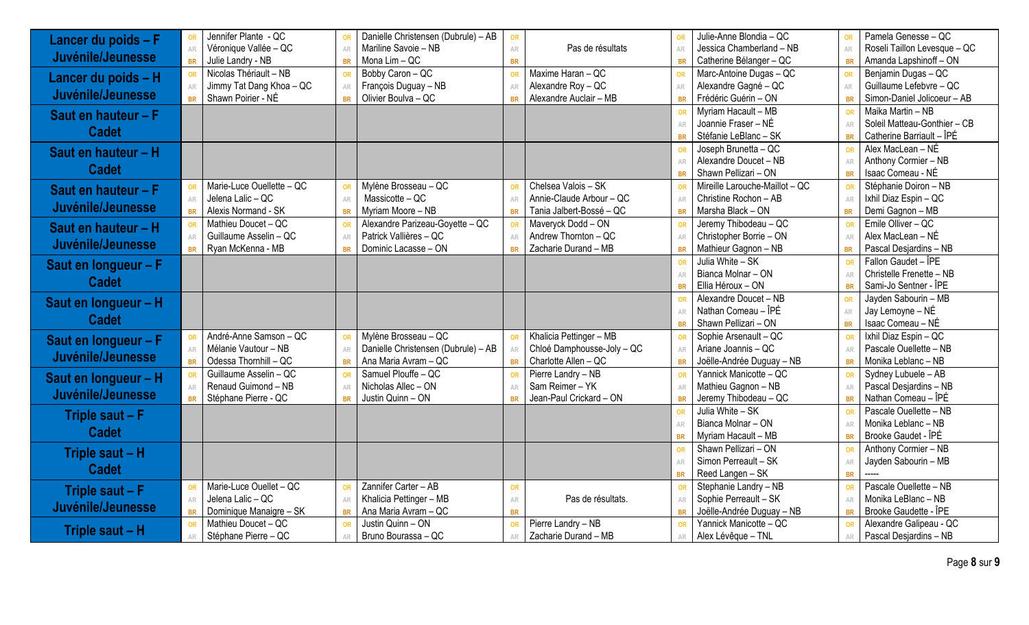| Lancer du poids - F  | <b>OR</b> | Jennifer Plante - QC      |           | Danielle Christensen (Dubrule) - AB | <b>OR</b>     |                            | OR             | Julie-Anne Blondia - QC        | OR        | Pamela Genesse - QC          |
|----------------------|-----------|---------------------------|-----------|-------------------------------------|---------------|----------------------------|----------------|--------------------------------|-----------|------------------------------|
|                      | AR        | Véronique Vallée - QC     | AR        | Mariline Savoie - NB                | AR            | Pas de résultats           | AR             | Jessica Chamberland - NB       | AR        | Roseli Taillon Levesque - QC |
| Juvénile/Jeunesse    | <b>BR</b> | Julie Landry - NB         | <b>BR</b> | Mona Lim - QC                       | <b>BR</b>     |                            | <b>BR</b>      | Catherine Bélanger - QC        | <b>BR</b> | Amanda Lapshinoff - ON       |
| Lancer du poids - H  | <b>OR</b> | Nicolas Thériault - NB    |           | Bobby Caron - QC                    | <b>OR</b>     | Maxime Haran - QC          | OR             | Marc-Antoine Dugas - QC        | OR        | Benjamin Dugas - QC          |
|                      | AR        | Jimmy Tat Dang Khoa - QC  | AR        | François Duguay - NB                | AR            | Alexandre Roy - QC         | AR             | Alexandre Gagné - QC           | AR        | Guillaume Lefebvre - QC      |
| Juvénile/Jeunesse    | <b>BR</b> | Shawn Poirier - NÉ        | <b>BR</b> | Olivier Boulva - QC                 | <b>BR</b>     | Alexandre Auclair - MB     | <b>BR</b>      | Frédéric Guérin - ON           | <b>BR</b> | Simon-Daniel Jolicoeur - AB  |
| Saut en hauteur - F  |           |                           |           |                                     |               |                            | OR             | Myriam Hacault - MB            | OR        | Maika Martin - NB            |
|                      |           |                           |           |                                     |               |                            | AR             | Joannie Fraser - NÉ            | AR        | Soleil Matteau-Gonthier - CB |
| <b>Cadet</b>         |           |                           |           |                                     |               |                            | <b>BR</b>      | Stéfanie LeBlanc - SK          | <b>BR</b> | Catherine Barriault - ÎPÉ    |
| Saut en hauteur - H  |           |                           |           |                                     |               |                            |                | Joseph Brunetta - QC           | OR        | Alex MacLean - NÉ            |
|                      |           |                           |           |                                     |               |                            | AR             | Alexandre Doucet - NB          | AR        | Anthony Cormier - NB         |
| <b>Cadet</b>         |           |                           |           |                                     |               |                            | <b>BR</b>      | Shawn Pellizari - ON           | <b>BR</b> | Isaac Comeau - NÉ            |
| Saut en hauteur - F  | <b>OR</b> | Marie-Luce Ouellette - QC |           | Mylène Brosseau - QC                | <b>OR</b>     | Chelsea Valois - SK        | OR             | Mireille Larouche-Maillot - QC | OR        | Stéphanie Doiron - NB        |
|                      | AR        | Jelena Lalic - QC         | AR        | Massicotte - QC                     | AR            | Annie-Claude Arbour - QC   | AR             | Christine Rochon - AB          | AR        | Ixhil Diaz Espin - QC        |
| Juvénile/Jeunesse    | <b>BR</b> | Alexis Normand - SK       | <b>BR</b> | Myriam Moore - NB                   | <b>BR</b>     | Tania Jalbert-Bossé - QC   | <b>BR</b>      | Marsha Black - ON              | <b>BR</b> | Demi Gagnon - MB             |
| Saut en hauteur - H  | <b>OR</b> | Mathieu Doucet - QC       |           | Alexandre Parizeau-Goyette - QC     |               | Maveryck Dodd - ON         | OR             | Jeremy Thibodeau - QC          | OR        | Emile Olliver - QC           |
|                      | AR        | Guillaume Asselin - QC    | AR        | Patrick Vallières - QC              | AR            | Andrew Thornton - QC       | AR             | Christopher Borrie - ON        | AR        | Alex MacLean - NÉ            |
| Juvénile/Jeunesse    | <b>BR</b> | Ryan McKenna - MB         | <b>BR</b> | Dominic Lacasse - ON                | <b>BR</b>     | Zacharie Durand - MB       | <b>BR</b>      | Mathieur Gagnon - NB           | <b>BR</b> | Pascal Desjardins - NB       |
| Saut en longueur - F |           |                           |           |                                     |               |                            | OR             | Julia White - SK               | OR        | Fallon Gaudet - ÎPE          |
|                      |           |                           |           |                                     |               |                            | AR             | Bianca Molnar - ON             | AR        | Christelle Frenette - NB     |
| <b>Cadet</b>         |           |                           |           |                                     |               |                            | <b>BR</b>      | Ellia Héroux - ON              | <b>BR</b> | Sami-Jo Sentner - ÎPE        |
| Saut en longueur - H |           |                           |           |                                     |               |                            |                | Alexandre Doucet - NB          | <b>OR</b> | Jayden Sabourin - MB         |
|                      |           |                           |           |                                     |               |                            | AR             | Nathan Comeau - ÎPÉ            | AR        | Jay Lemoyne - NÉ             |
| <b>Cadet</b>         |           |                           |           |                                     |               |                            | <b>BR</b>      | Shawn Pellizari - ON           | <b>BR</b> | Isaac Comeau - NÉ            |
| Saut en longueur - F | <b>OR</b> | André-Anne Samson - QC    |           | Mylène Brosseau - QC                | <b>OR</b>     | Khalicia Pettinger - MB    | OR             | Sophie Arsenault - QC          | OR        | Ixhil Diaz Espin - QC        |
| Juvénile/Jeunesse    | AR        | Mélanie Vautour - NB      | AR        | Danielle Christensen (Dubrule) - AB | AR            | Chloé Damphousse-Joly - QC | AR             | Ariane Joannis - QC            | AR        | Pascale Ouellette - NB       |
|                      | <b>BR</b> | Odessa Thornhill - QC     | <b>BR</b> | Ana Maria Avram - QC                | <b>BR</b>     | Charlotte Allen - QC       | <b>BR</b>      | Joëlle-Andrée Duguay - NB      | <b>BR</b> | Monika Leblanc - NB          |
| Saut en longueur - H | OR        | Guillaume Asselin - QC    |           | Samuel Plouffe - QC                 |               | Pierre Landry - NB         | OR             | Yannick Manicotte - QC         | OR        | Sydney Lubuele - AB          |
| Juvénile/Jeunesse    | <b>AR</b> | Renaud Guimond - NB       | AR        | Nicholas Allec - ON                 | AR            | Sam Reimer-YK              | AR             | Mathieu Gagnon - NB            | AR        | Pascal Desjardins - NB       |
|                      | <b>BR</b> | Stéphane Pierre - QC      | <b>BR</b> | Justin Quinn - ON                   | <b>RR</b>     | Jean-Paul Crickard - ON    | <b>BR</b>      | Jeremy Thibodeau - QC          | <b>BR</b> | Nathan Comeau - ÎPÉ          |
| Triple saut - F      |           |                           |           |                                     |               |                            | OR             | Julia White - SK               | OR        | Pascale Ouellette - NB       |
| <b>Cadet</b>         |           |                           |           |                                     |               |                            | AR             | Bianca Molnar - ON             | AR        | Monika Leblanc - NB          |
|                      |           |                           |           |                                     |               |                            | <b>BR</b>      | Myriam Hacault - MB            | <b>BR</b> | Brooke Gaudet - ÎPÉ          |
| Triple saut - H      |           |                           |           |                                     |               |                            | OR             | Shawn Pellizari - ON           | OR        | Anthony Cormier - NB         |
| <b>Cadet</b>         |           |                           |           |                                     |               |                            | AR             | Simon Perreault - SK           | AR        | Jayden Sabourin - MB         |
|                      |           |                           |           |                                     |               |                            | <b>BR</b>      | Reed Langen - SK               | <b>BR</b> |                              |
| Triple saut - F      | <b>OR</b> | Marie-Luce Ouellet - QC   |           | Zannifer Carter - AB                | <b>OR</b>     |                            |                | Stephanie Landry - NB          | OR        | Pascale Ouellette - NB       |
| Juvénile/Jeunesse    | AR        | Jelena Lalic - QC         |           | Khalicia Pettinger - MB             | $\mathbb{AR}$ | Pas de résultats.          | AR             | Sophie Perreault - SK          | AR        | Monika LeBlanc - NB          |
|                      | <b>BR</b> | Dominique Manaigre - SK   | <b>BR</b> | Ana Maria Avram - QC                | <b>BR</b>     |                            | <b>BR</b>      | Joëlle-Andrée Duguay - NB      | <b>BR</b> | Brooke Gaudette - ÎPE        |
| Triple saut - H      | <b>OR</b> | Mathieu Doucet - QC       | OR        | Justin Quinn - ON                   | OR            | Pierre Landry - NB         | OR             | Yannick Manicotte - QC         | OR        | Alexandre Galipeau - QC      |
|                      | AR        | Stéphane Pierre - QC      |           | Bruno Bourassa - QC                 |               | Zacharie Durand - MB       | $\triangle$ Fe | Alex Lévêque - TNL             |           | Pascal Desjardins - NB       |